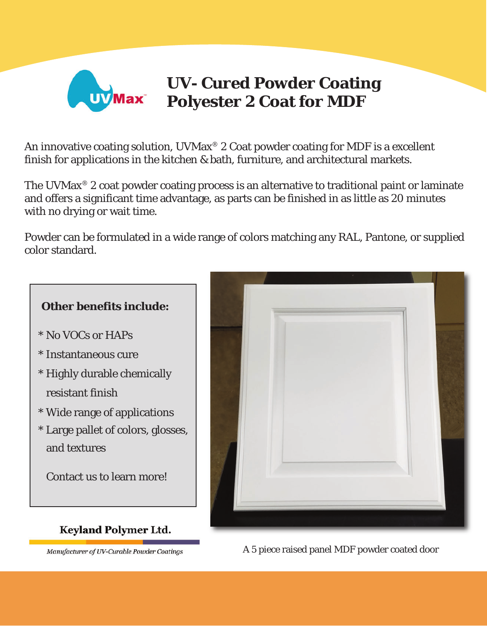

## **UV- Cured Powder Coating Polyester 2 Coat for MDF**

An innovative coating solution,  $UVMax^{\circledR}$  2 Coat powder coating for MDF is a excellent finish for applications in the kitchen & bath, furniture, and architectural markets.

The UVMax<sup>®</sup> 2 coat powder coating process is an alternative to traditional paint or laminate and offers a significant time advantage, as parts can be finished in as little as 20 minutes with no drying or wait time.

Powder can be formulated in a wide range of colors matching any RAL, Pantone, or supplied color standard.



- \* No VOCs or HAPs
- \* Instantaneous cure
- \* Highly durable chemically resistant finish
- \* Wide range of applications
- \* Large pallet of colors, glosses, and textures

Contact us to learn more!

## **Keyland Polymer Ltd.**

Manufacturer of UV-Curable Powder Coatings



A 5 piece raised panel MDF powder coated door